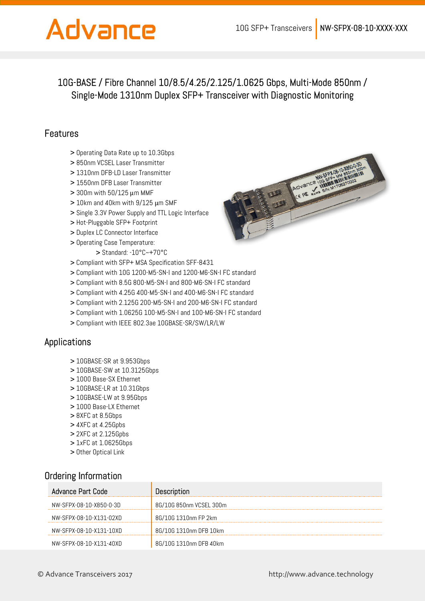# Advance

## 10G-BASE / Fibre Channel 10/8.5/4.25/2.125/1.0625 Gbps, Multi-Mode 850nm / Single-Mode 1310nm Duplex SFP+ Transceiver with Diagnostic Monitoring

### Features

- > Operating Data Rate up to 10.3Gbps
- > 850nm VCSEL Laser Transmitter
- > 1310nm DFB-LD Laser Transmitter
- > 1550nm DFB Laser Transmitter
- > 300m with 50/125 μm MMF
- > 10km and 40km with 9/125 μm SMF
- > Single 3.3V Power Supply and TTL Logic Interface
- > Hot-Pluggable SFP+ Footprint
- > Duplex LC Connector Interface
- > Operating Case Temperature:
	- > Standard: -10°C~+70°C
- > Compliant with SFP+ MSA Specification SFF-8431
- > Compliant with 10G 1200-M5-SN-I and 1200-M6-SN-I FC standard
- > Compliant with 8.5G 800-M5-SN-I and 800-M6-SN-I FC standard
- > Compliant with 4.25G 400-M5-SN-I and 400-M6-SN-I FC standard
- > Compliant with 2.125G 200-M5-SN-I and 200-M6-SN-I FC standard
- > Compliant with 1.0625G 100-M5-SN-I and 100-M6-SN-I FC standard
- > Compliant with IEEE 802.3ae 10GBASE-SR/SW/LR/LW

#### Applications

- > 10GBASE-SR at 9.953Gbps
- > 10GBASE-SW at 10.3125Gbps
- > 1000 Base-SX Ethernet
- > 10GBASE-LR at 10.31Gbps
- > 10GBASE-LW at 9.95Gbps
- > 1000 Base-LX Ethernet
- > 8XFC at 8.5Gbps
- > 4XFC at 4.25Gpbs
- > 2XFC at 2.125Gpbs
- > 1xFC at 1.0625Gbps
- > Other Optical Link

### Ordering Information

| Advance Part Code       | <b>Description</b>      |
|-------------------------|-------------------------|
| NW-SFPX-08-10-X850-0-3D | 8G/10G 850nm VCSEL 300m |
| NW-SFPX-08-10-X131-02XD | 8G/10G 1310nm FP 2km    |
| NW-SFPX-08-10-X131-10XD | 8G/10G 1310nm DFB 10km  |
| NW-SFPX-08-10-X131-40XD | 8G/10G 1310nm DFB 40km  |